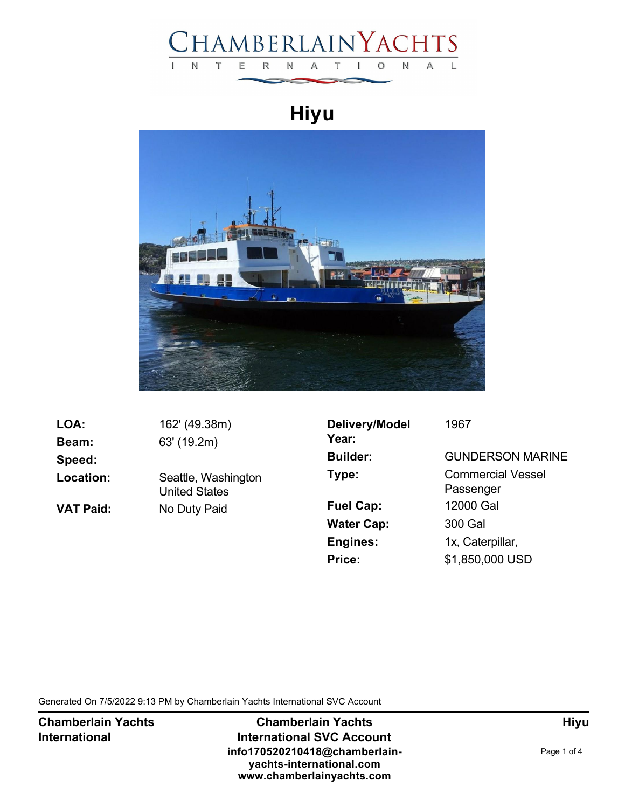

## **Hiyu**



| LOA:             | 162' (49.38m)                        |
|------------------|--------------------------------------|
| <b>Beam:</b>     | 63' (19.2m)                          |
| Speed:           |                                      |
| Location:        | Seattle, Washington<br>United States |
| <b>VAT Paid:</b> | No Duty Paid                         |
|                  |                                      |

| Delivery/Model<br>Year: | 1967                                  |
|-------------------------|---------------------------------------|
| <b>Builder:</b>         | <b>GUNDERSON MARINE</b>               |
| Type:                   | <b>Commercial Vessel</b><br>Passenger |
| <b>Fuel Cap:</b>        | 12000 Gal                             |
| <b>Water Cap:</b>       | 300 Gal                               |
| <b>Engines:</b>         | 1x, Caterpillar,                      |
| Price:                  | \$1,850,000 USD                       |

Generated On 7/5/2022 9:13 PM by Chamberlain Yachts International SVC Account

**Chamberlain Yachts International**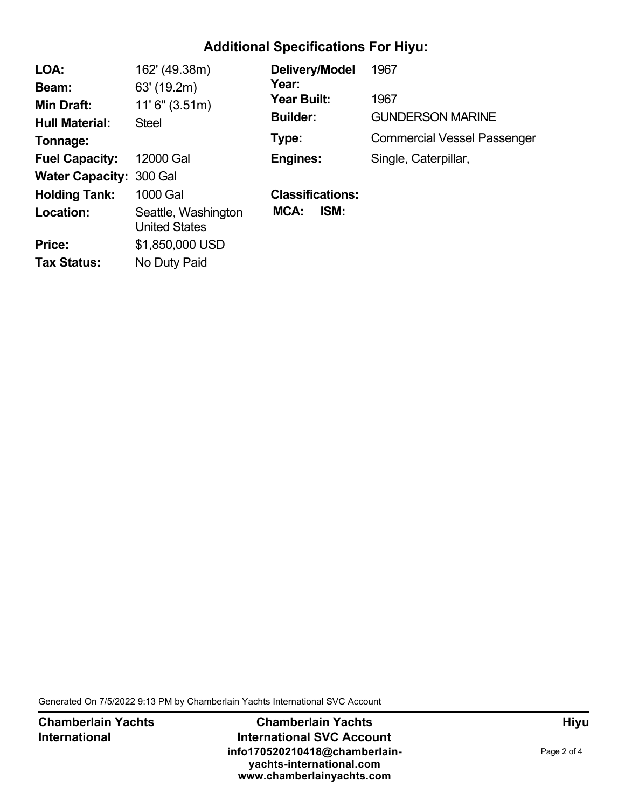## **Additional Specifications For Hiyu:**

| LOA:                           | 162' (49.38m)                               | Delivery/Model          | 1967                               |
|--------------------------------|---------------------------------------------|-------------------------|------------------------------------|
| Beam:                          | 63' (19.2m)                                 | Year:                   |                                    |
| Min Draft:                     | 11'6'' (3.51m)                              | Year Built:             | 1967                               |
| <b>Hull Material:</b>          | <b>Steel</b>                                | <b>Builder:</b>         | <b>GUNDERSON MARINE</b>            |
| Tonnage:                       |                                             | Type:                   | <b>Commercial Vessel Passenger</b> |
| <b>Fuel Capacity:</b>          | 12000 Gal                                   | <b>Engines:</b>         | Single, Caterpillar,               |
| <b>Water Capacity: 300 Gal</b> |                                             |                         |                                    |
| <b>Holding Tank:</b>           | 1000 Gal                                    | <b>Classifications:</b> |                                    |
| Location:                      | Seattle, Washington<br><b>United States</b> | ISM:<br>MCA:            |                                    |
| Price:                         | \$1,850,000 USD                             |                         |                                    |
| <b>Tax Status:</b>             | No Duty Paid                                |                         |                                    |

Generated On 7/5/2022 9:13 PM by Chamberlain Yachts International SVC Account

**Chamberlain Yachts International**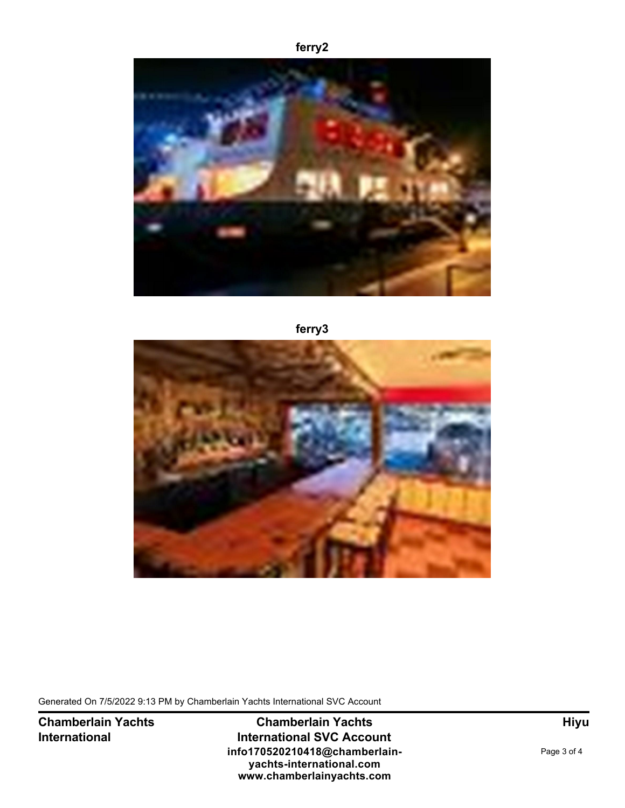## **ferry2**



**ferry3**



Generated On 7/5/2022 9:13 PM by Chamberlain Yachts International SVC Account

**Chamberlain Yachts International**